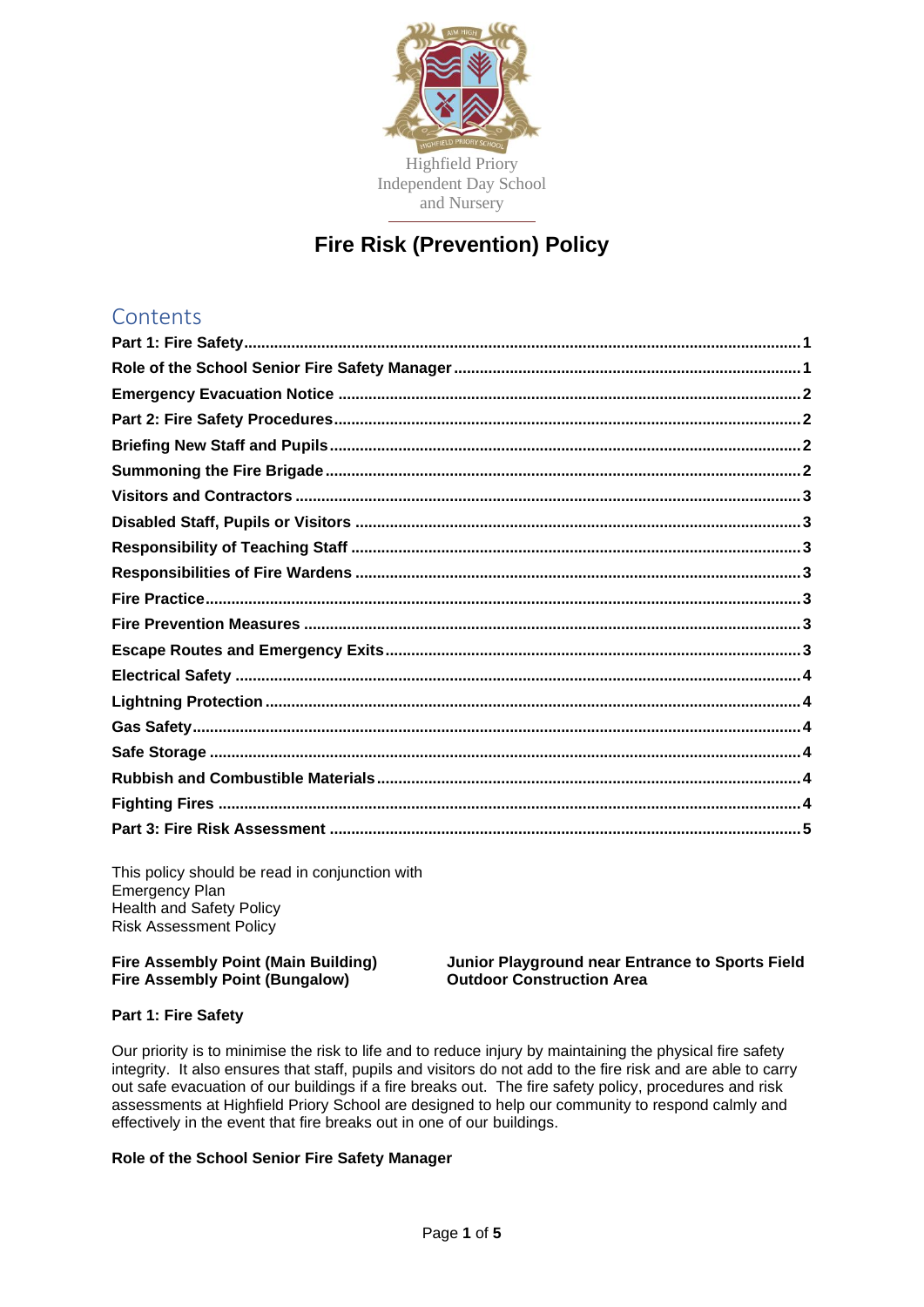

# **Fire Risk (Prevention) Policy**

# **Contents**

This policy should be read in conjunction with Emergency Plan Health and Safety Policy Risk Assessment Policy

# **Fire Assembly Point (Bungalow) Outdoor Construction Area**

**Fire Assembly Point (Main Building) Junior Playground near Entrance to Sports Field**

# <span id="page-0-0"></span>**Part 1: Fire Safety**

Our priority is to minimise the risk to life and to reduce injury by maintaining the physical fire safety integrity. It also ensures that staff, pupils and visitors do not add to the fire risk and are able to carry out safe evacuation of our buildings if a fire breaks out. The fire safety policy, procedures and risk assessments at Highfield Priory School are designed to help our community to respond calmly and effectively in the event that fire breaks out in one of our buildings.

# <span id="page-0-1"></span>**Role of the School Senior Fire Safety Manager**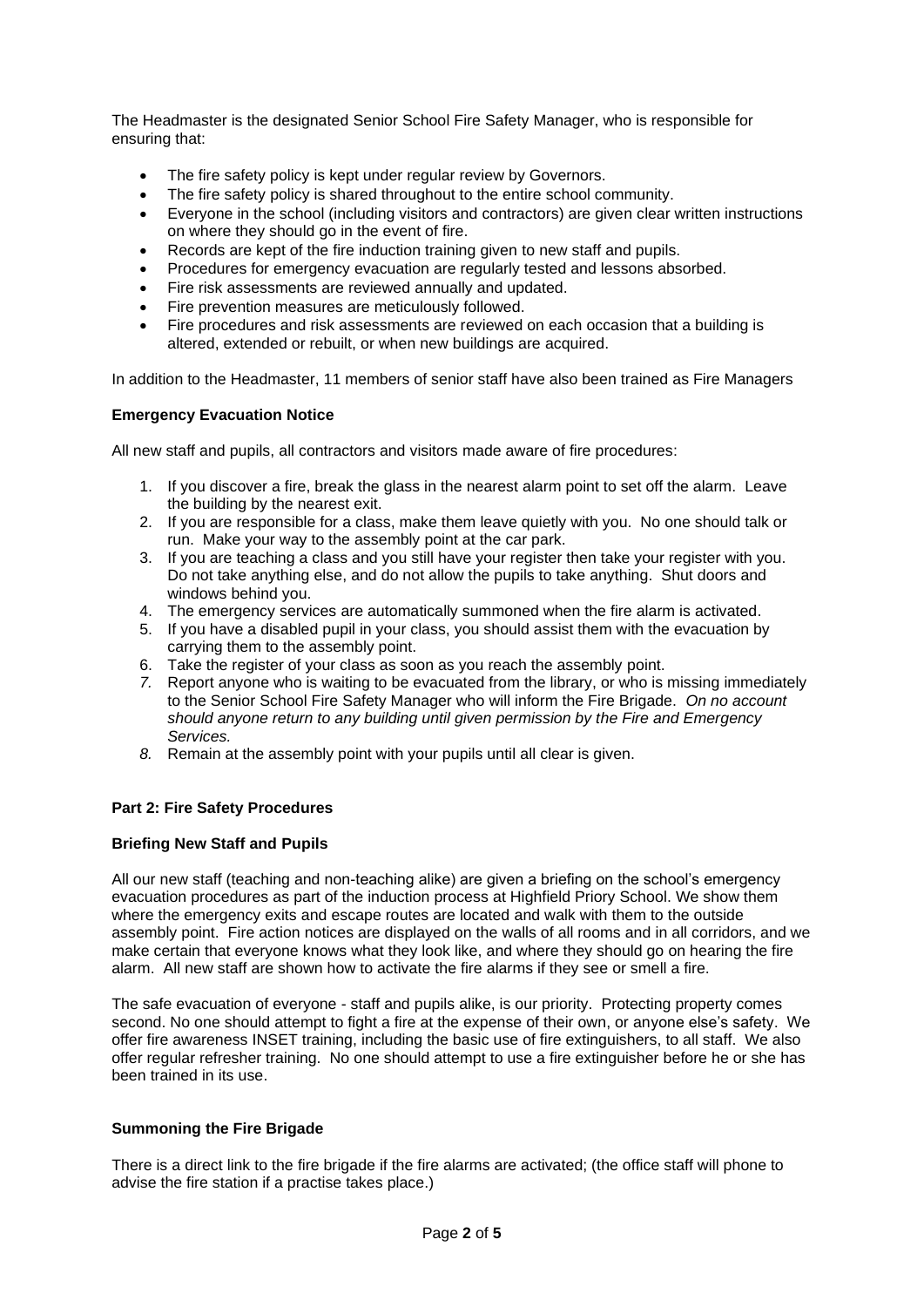The Headmaster is the designated Senior School Fire Safety Manager, who is responsible for ensuring that:

- The fire safety policy is kept under regular review by Governors.
- The fire safety policy is shared throughout to the entire school community.
- Everyone in the school (including visitors and contractors) are given clear written instructions on where they should go in the event of fire.
- Records are kept of the fire induction training given to new staff and pupils.
- Procedures for emergency evacuation are regularly tested and lessons absorbed.
- Fire risk assessments are reviewed annually and updated.
- Fire prevention measures are meticulously followed.
- Fire procedures and risk assessments are reviewed on each occasion that a building is altered, extended or rebuilt, or when new buildings are acquired.

In addition to the Headmaster, 11 members of senior staff have also been trained as Fire Managers

#### <span id="page-1-0"></span>**Emergency Evacuation Notice**

All new staff and pupils, all contractors and visitors made aware of fire procedures:

- 1. If you discover a fire, break the glass in the nearest alarm point to set off the alarm. Leave the building by the nearest exit.
- 2. If you are responsible for a class, make them leave quietly with you. No one should talk or run. Make your way to the assembly point at the car park.
- 3. If you are teaching a class and you still have your register then take your register with you. Do not take anything else, and do not allow the pupils to take anything. Shut doors and windows behind you.
- 4. The emergency services are automatically summoned when the fire alarm is activated.
- 5. If you have a disabled pupil in your class, you should assist them with the evacuation by carrying them to the assembly point.
- 6. Take the register of your class as soon as you reach the assembly point.
- *7.* Report anyone who is waiting to be evacuated from the library, or who is missing immediately to the Senior School Fire Safety Manager who will inform the Fire Brigade. *On no account should anyone return to any building until given permission by the Fire and Emergency Services.*
- *8.* Remain at the assembly point with your pupils until all clear is given.

# <span id="page-1-1"></span>**Part 2: Fire Safety Procedures**

#### <span id="page-1-2"></span>**Briefing New Staff and Pupils**

All our new staff (teaching and non-teaching alike) are given a briefing on the school's emergency evacuation procedures as part of the induction process at Highfield Priory School. We show them where the emergency exits and escape routes are located and walk with them to the outside assembly point. Fire action notices are displayed on the walls of all rooms and in all corridors, and we make certain that everyone knows what they look like, and where they should go on hearing the fire alarm. All new staff are shown how to activate the fire alarms if they see or smell a fire.

The safe evacuation of everyone - staff and pupils alike, is our priority. Protecting property comes second. No one should attempt to fight a fire at the expense of their own, or anyone else's safety. We offer fire awareness INSET training, including the basic use of fire extinguishers, to all staff. We also offer regular refresher training. No one should attempt to use a fire extinguisher before he or she has been trained in its use.

#### <span id="page-1-3"></span>**Summoning the Fire Brigade**

There is a direct link to the fire brigade if the fire alarms are activated; (the office staff will phone to advise the fire station if a practise takes place.)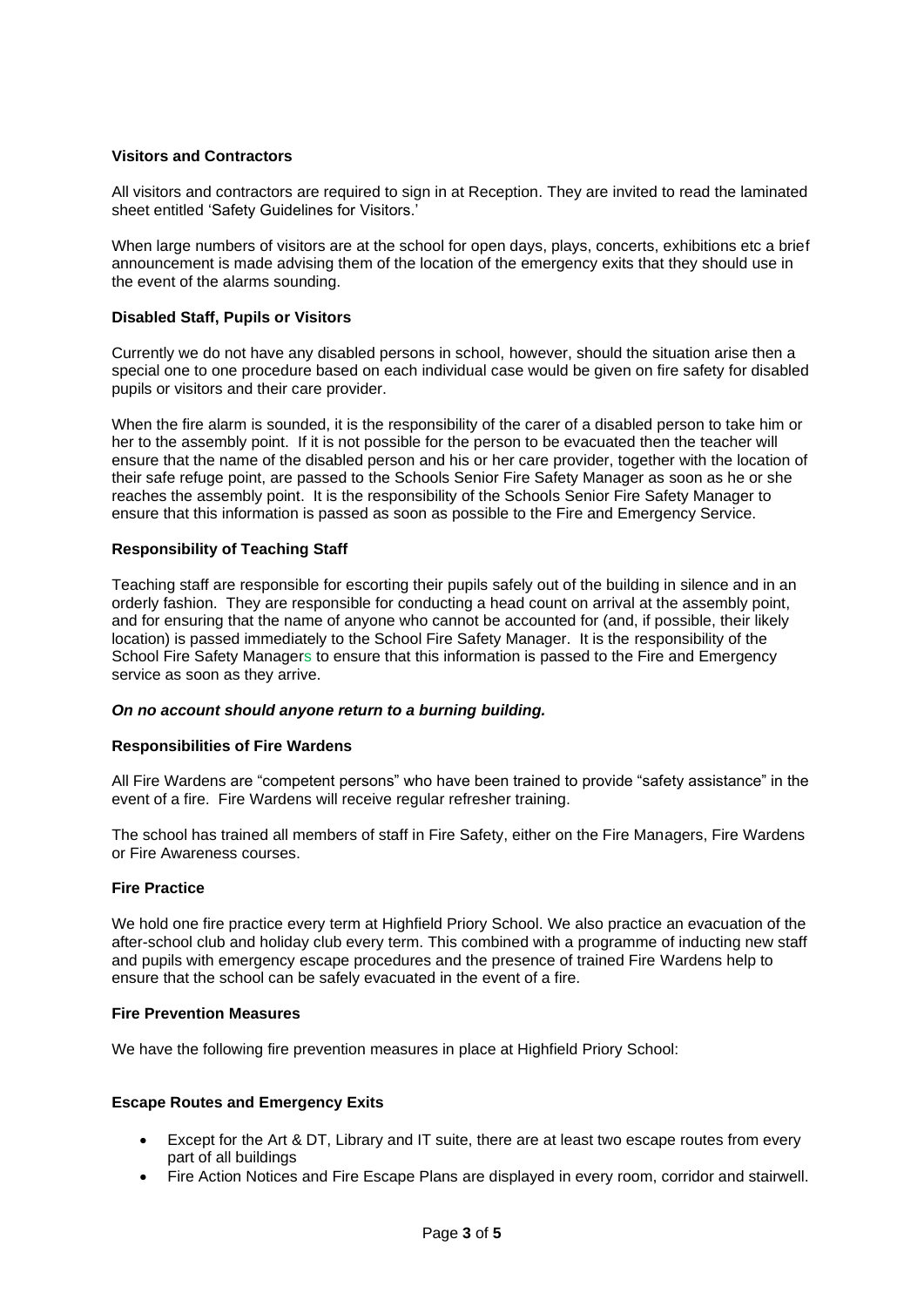### <span id="page-2-0"></span>**Visitors and Contractors**

All visitors and contractors are required to sign in at Reception. They are invited to read the laminated sheet entitled 'Safety Guidelines for Visitors.'

When large numbers of visitors are at the school for open days, plays, concerts, exhibitions etc a brief announcement is made advising them of the location of the emergency exits that they should use in the event of the alarms sounding.

#### <span id="page-2-1"></span>**Disabled Staff, Pupils or Visitors**

Currently we do not have any disabled persons in school, however, should the situation arise then a special one to one procedure based on each individual case would be given on fire safety for disabled pupils or visitors and their care provider.

When the fire alarm is sounded, it is the responsibility of the carer of a disabled person to take him or her to the assembly point. If it is not possible for the person to be evacuated then the teacher will ensure that the name of the disabled person and his or her care provider, together with the location of their safe refuge point, are passed to the Schools Senior Fire Safety Manager as soon as he or she reaches the assembly point. It is the responsibility of the Schools Senior Fire Safety Manager to ensure that this information is passed as soon as possible to the Fire and Emergency Service.

#### <span id="page-2-2"></span>**Responsibility of Teaching Staff**

Teaching staff are responsible for escorting their pupils safely out of the building in silence and in an orderly fashion. They are responsible for conducting a head count on arrival at the assembly point, and for ensuring that the name of anyone who cannot be accounted for (and, if possible, their likely location) is passed immediately to the School Fire Safety Manager. It is the responsibility of the School Fire Safety Managers to ensure that this information is passed to the Fire and Emergency service as soon as they arrive.

#### *On no account should anyone return to a burning building.*

#### <span id="page-2-3"></span>**Responsibilities of Fire Wardens**

All Fire Wardens are "competent persons" who have been trained to provide "safety assistance" in the event of a fire. Fire Wardens will receive regular refresher training.

The school has trained all members of staff in Fire Safety, either on the Fire Managers, Fire Wardens or Fire Awareness courses.

#### <span id="page-2-4"></span>**Fire Practice**

We hold one fire practice every term at Highfield Priory School. We also practice an evacuation of the after-school club and holiday club every term. This combined with a programme of inducting new staff and pupils with emergency escape procedures and the presence of trained Fire Wardens help to ensure that the school can be safely evacuated in the event of a fire.

#### <span id="page-2-5"></span>**Fire Prevention Measures**

We have the following fire prevention measures in place at Highfield Priory School:

#### <span id="page-2-6"></span>**Escape Routes and Emergency Exits**

- Except for the Art & DT, Library and IT suite, there are at least two escape routes from every part of all buildings
- Fire Action Notices and Fire Escape Plans are displayed in every room, corridor and stairwell.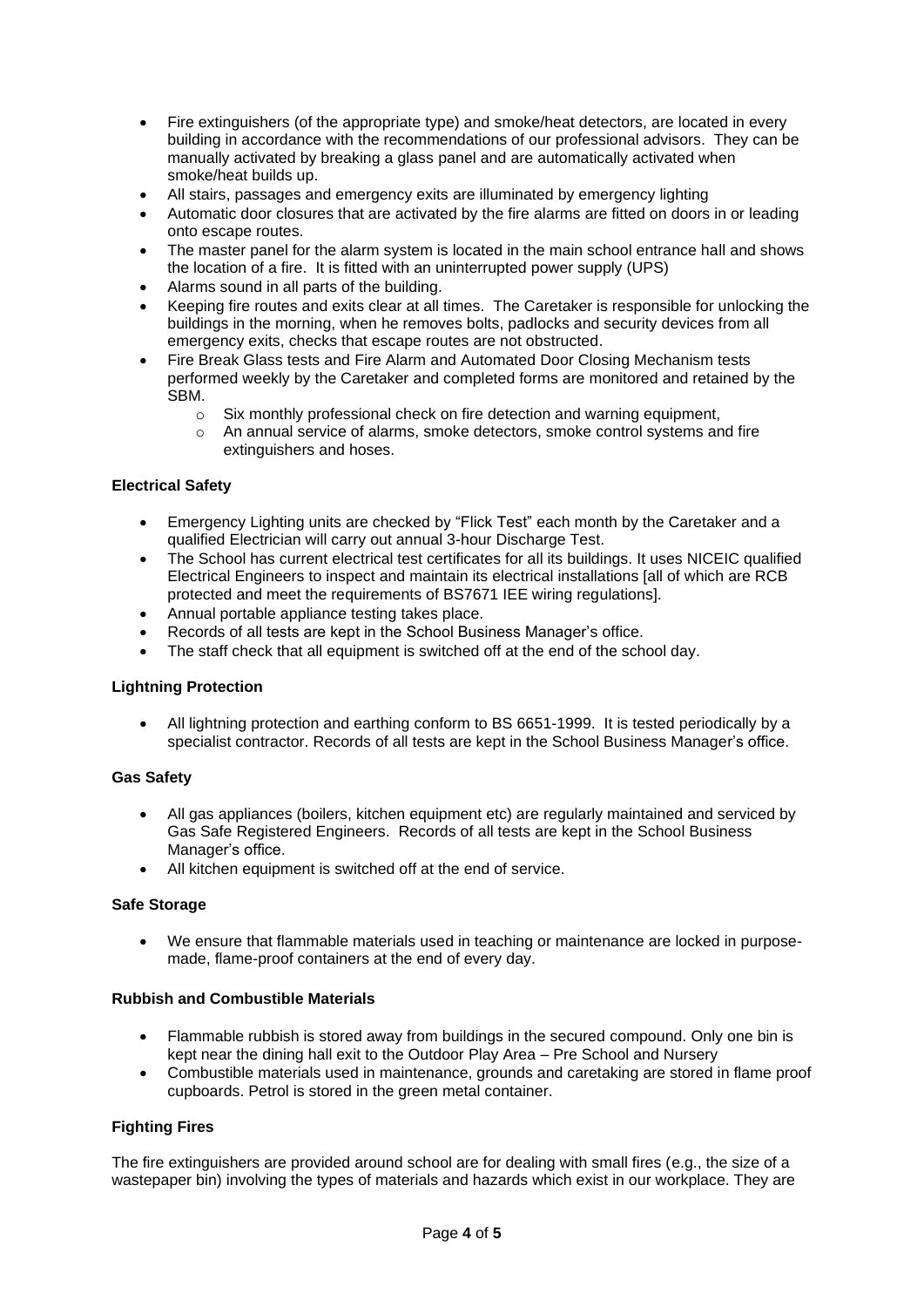- Fire extinguishers (of the appropriate type) and smoke/heat detectors, are located in every building in accordance with the recommendations of our professional advisors. They can be manually activated by breaking a glass panel and are automatically activated when smoke/heat builds up.
- All stairs, passages and emergency exits are illuminated by emergency lighting
- Automatic door closures that are activated by the fire alarms are fitted on doors in or leading onto escape routes.
- The master panel for the alarm system is located in the main school entrance hall and shows the location of a fire. It is fitted with an uninterrupted power supply (UPS)
- Alarms sound in all parts of the building.
- Keeping fire routes and exits clear at all times. The Caretaker is responsible for unlocking the buildings in the morning, when he removes bolts, padlocks and security devices from all emergency exits, checks that escape routes are not obstructed.
- Fire Break Glass tests and Fire Alarm and Automated Door Closing Mechanism tests performed weekly by the Caretaker and completed forms are monitored and retained by the SBM.
	- $\circ$  Six monthly professional check on fire detection and warning equipment,
	- o An annual service of alarms, smoke detectors, smoke control systems and fire extinguishers and hoses.

# <span id="page-3-0"></span>**Electrical Safety**

- Emergency Lighting units are checked by "Flick Test" each month by the Caretaker and a qualified Electrician will carry out annual 3-hour Discharge Test.
- The School has current electrical test certificates for all its buildings. It uses NICEIC qualified Electrical Engineers to inspect and maintain its electrical installations [all of which are RCB protected and meet the requirements of BS7671 IEE wiring regulations].
- Annual portable appliance testing takes place.
- Records of all tests are kept in the School Business Manager's office.
- The staff check that all equipment is switched off at the end of the school day.

# <span id="page-3-1"></span>**Lightning Protection**

• All lightning protection and earthing conform to BS 6651-1999. It is tested periodically by a specialist contractor. Records of all tests are kept in the School Business Manager's office.

# <span id="page-3-2"></span>**Gas Safety**

- All gas appliances (boilers, kitchen equipment etc) are regularly maintained and serviced by Gas Safe Registered Engineers. Records of all tests are kept in the School Business Manager's office.
- All kitchen equipment is switched off at the end of service.

# <span id="page-3-3"></span>**Safe Storage**

• We ensure that flammable materials used in teaching or maintenance are locked in purposemade, flame-proof containers at the end of every day.

# <span id="page-3-4"></span>**Rubbish and Combustible Materials**

- Flammable rubbish is stored away from buildings in the secured compound. Only one bin is kept near the dining hall exit to the Outdoor Play Area – Pre School and Nursery
- Combustible materials used in maintenance, grounds and caretaking are stored in flame proof cupboards. Petrol is stored in the green metal container.

# <span id="page-3-5"></span>**Fighting Fires**

The fire extinguishers are provided around school are for dealing with small fires (e.g., the size of a wastepaper bin) involving the types of materials and hazards which exist in our workplace. They are